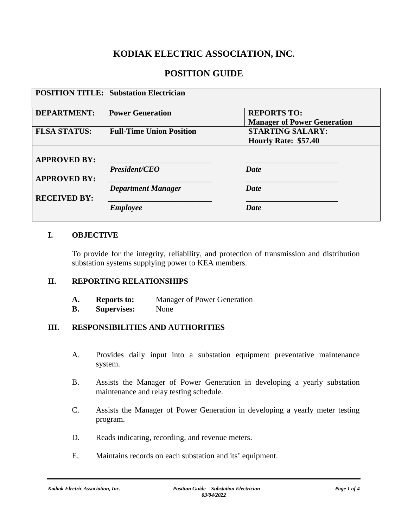# **KODIAK ELECTRIC ASSOCIATION, INC.**

### **POSITION GUIDE**

|                     | <b>POSITION TITLE: Substation Electrician</b> |                                                          |
|---------------------|-----------------------------------------------|----------------------------------------------------------|
| <b>DEPARTMENT:</b>  | <b>Power Generation</b>                       | <b>REPORTS TO:</b><br><b>Manager of Power Generation</b> |
| <b>FLSA STATUS:</b> | <b>Full-Time Union Position</b>               | <b>STARTING SALARY:</b><br>Hourly Rate: \$57.40          |
| <b>APPROVED BY:</b> |                                               |                                                          |
| <b>APPROVED BY:</b> | <b>President/CEO</b>                          | Date                                                     |
| <b>RECEIVED BY:</b> | <b>Department Manager</b>                     | <b>Date</b>                                              |
|                     | <b>Employee</b>                               | <b>Date</b>                                              |

### **I. OBJECTIVE**

To provide for the integrity, reliability, and protection of transmission and distribution substation systems supplying power to KEA members.

#### **II. REPORTING RELATIONSHIPS**

| A. | <b>Reports to:</b> | Manager of Power Generation |
|----|--------------------|-----------------------------|
|----|--------------------|-----------------------------|

**B. Supervises:** None

### **III. RESPONSIBILITIES AND AUTHORITIES**

- A. Provides daily input into a substation equipment preventative maintenance system.
- B. Assists the Manager of Power Generation in developing a yearly substation maintenance and relay testing schedule.
- C. Assists the Manager of Power Generation in developing a yearly meter testing program.
- D. Reads indicating, recording, and revenue meters.
- E. Maintains records on each substation and its' equipment.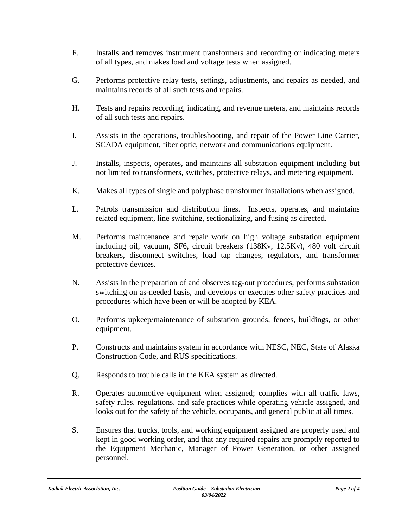- F. Installs and removes instrument transformers and recording or indicating meters of all types, and makes load and voltage tests when assigned.
- G. Performs protective relay tests, settings, adjustments, and repairs as needed, and maintains records of all such tests and repairs.
- H. Tests and repairs recording, indicating, and revenue meters, and maintains records of all such tests and repairs.
- I. Assists in the operations, troubleshooting, and repair of the Power Line Carrier, SCADA equipment, fiber optic, network and communications equipment.
- J. Installs, inspects, operates, and maintains all substation equipment including but not limited to transformers, switches, protective relays, and metering equipment.
- K. Makes all types of single and polyphase transformer installations when assigned.
- L. Patrols transmission and distribution lines. Inspects, operates, and maintains related equipment, line switching, sectionalizing, and fusing as directed.
- M. Performs maintenance and repair work on high voltage substation equipment including oil, vacuum, SF6, circuit breakers (138Kv, 12.5Kv), 480 volt circuit breakers, disconnect switches, load tap changes, regulators, and transformer protective devices.
- N. Assists in the preparation of and observes tag-out procedures, performs substation switching on as-needed basis, and develops or executes other safety practices and procedures which have been or will be adopted by KEA.
- O. Performs upkeep/maintenance of substation grounds, fences, buildings, or other equipment.
- P. Constructs and maintains system in accordance with NESC, NEC, State of Alaska Construction Code, and RUS specifications.
- Q. Responds to trouble calls in the KEA system as directed.
- R. Operates automotive equipment when assigned; complies with all traffic laws, safety rules, regulations, and safe practices while operating vehicle assigned, and looks out for the safety of the vehicle, occupants, and general public at all times.
- S. Ensures that trucks, tools, and working equipment assigned are properly used and kept in good working order, and that any required repairs are promptly reported to the Equipment Mechanic, Manager of Power Generation, or other assigned personnel.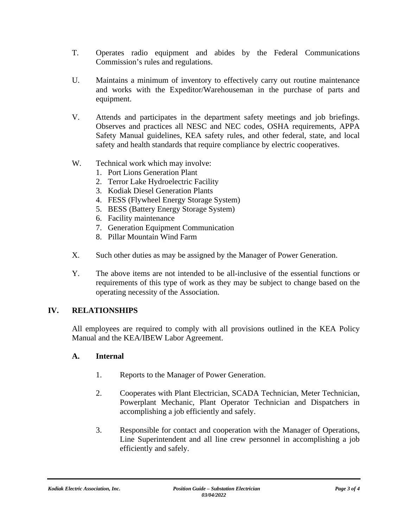- T. Operates radio equipment and abides by the Federal Communications Commission's rules and regulations.
- U. Maintains a minimum of inventory to effectively carry out routine maintenance and works with the Expeditor/Warehouseman in the purchase of parts and equipment.
- V. Attends and participates in the department safety meetings and job briefings. Observes and practices all NESC and NEC codes, OSHA requirements, APPA Safety Manual guidelines, KEA safety rules, and other federal, state, and local safety and health standards that require compliance by electric cooperatives.
- W. Technical work which may involve:
	- 1. Port Lions Generation Plant
	- 2. Terror Lake Hydroelectric Facility
	- 3. Kodiak Diesel Generation Plants
	- 4. FESS (Flywheel Energy Storage System)
	- 5. BESS (Battery Energy Storage System)
	- 6. Facility maintenance
	- 7. Generation Equipment Communication
	- 8. Pillar Mountain Wind Farm
- X. Such other duties as may be assigned by the Manager of Power Generation.
- Y. The above items are not intended to be all-inclusive of the essential functions or requirements of this type of work as they may be subject to change based on the operating necessity of the Association.

### **IV. RELATIONSHIPS**

All employees are required to comply with all provisions outlined in the KEA Policy Manual and the KEA/IBEW Labor Agreement.

### **A. Internal**

- 1. Reports to the Manager of Power Generation.
- 2. Cooperates with Plant Electrician, SCADA Technician, Meter Technician, Powerplant Mechanic, Plant Operator Technician and Dispatchers in accomplishing a job efficiently and safely.
- 3. Responsible for contact and cooperation with the Manager of Operations, Line Superintendent and all line crew personnel in accomplishing a job efficiently and safely.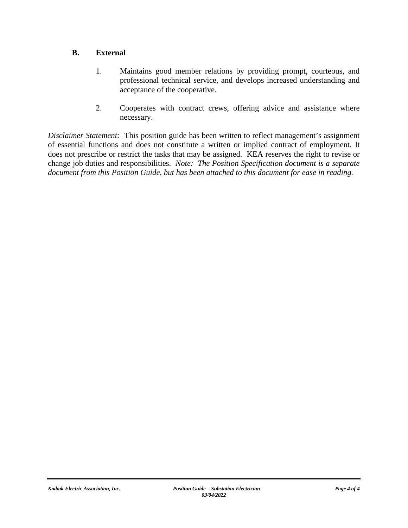### **B. External**

- 1. Maintains good member relations by providing prompt, courteous, and professional technical service, and develops increased understanding and acceptance of the cooperative.
- 2. Cooperates with contract crews, offering advice and assistance where necessary.

*Disclaimer Statement:* This position guide has been written to reflect management's assignment of essential functions and does not constitute a written or implied contract of employment. It does not prescribe or restrict the tasks that may be assigned. KEA reserves the right to revise or change job duties and responsibilities. *Note: The Position Specification document is a separate document from this Position Guide, but has been attached to this document for ease in reading.*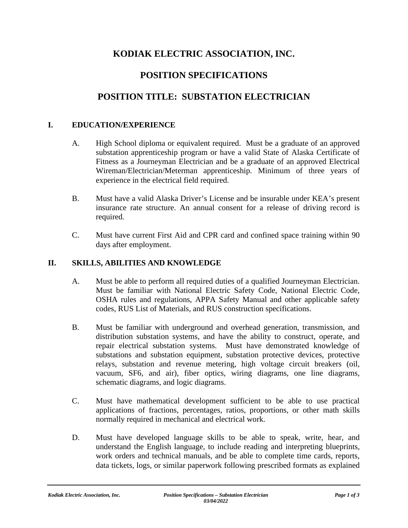# **KODIAK ELECTRIC ASSOCIATION, INC.**

## **POSITION SPECIFICATIONS**

## **POSITION TITLE: SUBSTATION ELECTRICIAN**

### **I. EDUCATION/EXPERIENCE**

- A. High School diploma or equivalent required. Must be a graduate of an approved substation apprenticeship program or have a valid State of Alaska Certificate of Fitness as a Journeyman Electrician and be a graduate of an approved Electrical Wireman/Electrician/Meterman apprenticeship. Minimum of three years of experience in the electrical field required.
- B. Must have a valid Alaska Driver's License and be insurable under KEA's present insurance rate structure. An annual consent for a release of driving record is required.
- C. Must have current First Aid and CPR card and confined space training within 90 days after employment.

#### **II. SKILLS, ABILITIES AND KNOWLEDGE**

- A. Must be able to perform all required duties of a qualified Journeyman Electrician. Must be familiar with National Electric Safety Code, National Electric Code, OSHA rules and regulations, APPA Safety Manual and other applicable safety codes, RUS List of Materials, and RUS construction specifications.
- B. Must be familiar with underground and overhead generation, transmission, and distribution substation systems, and have the ability to construct, operate, and repair electrical substation systems. Must have demonstrated knowledge of substations and substation equipment, substation protective devices, protective relays, substation and revenue metering, high voltage circuit breakers (oil, vacuum, SF6, and air), fiber optics, wiring diagrams, one line diagrams, schematic diagrams, and logic diagrams.
- C. Must have mathematical development sufficient to be able to use practical applications of fractions, percentages, ratios, proportions, or other math skills normally required in mechanical and electrical work.
- D. Must have developed language skills to be able to speak, write, hear, and understand the English language, to include reading and interpreting blueprints, work orders and technical manuals, and be able to complete time cards, reports, data tickets, logs, or similar paperwork following prescribed formats as explained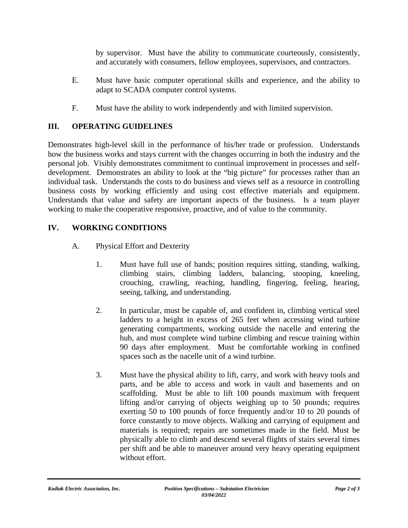by supervisor. Must have the ability to communicate courteously, consistently, and accurately with consumers, fellow employees, supervisors, and contractors.

- E. Must have basic computer operational skills and experience, and the ability to adapt to SCADA computer control systems.
- F. Must have the ability to work independently and with limited supervision.

### **III. OPERATING GUIDELINES**

Demonstrates high-level skill in the performance of his/her trade or profession. Understands how the business works and stays current with the changes occurring in both the industry and the personal job. Visibly demonstrates commitment to continual improvement in processes and selfdevelopment. Demonstrates an ability to look at the "big picture" for processes rather than an individual task. Understands the costs to do business and views self as a resource in controlling business costs by working efficiently and using cost effective materials and equipment. Understands that value and safety are important aspects of the business. Is a team player working to make the cooperative responsive, proactive, and of value to the community.

### **IV. WORKING CONDITIONS**

- A. Physical Effort and Dexterity
	- 1. Must have full use of hands; position requires sitting, standing, walking, climbing stairs, climbing ladders, balancing, stooping, kneeling, crouching, crawling, reaching, handling, fingering, feeling, hearing, seeing, talking, and understanding.
	- 2. In particular, must be capable of, and confident in, climbing vertical steel ladders to a height in excess of 265 feet when accessing wind turbine generating compartments, working outside the nacelle and entering the hub, and must complete wind turbine climbing and rescue training within 90 days after employment. Must be comfortable working in confined spaces such as the nacelle unit of a wind turbine.
	- 3. Must have the physical ability to lift, carry, and work with heavy tools and parts, and be able to access and work in vault and basements and on scaffolding. Must be able to lift 100 pounds maximum with frequent lifting and/or carrying of objects weighing up to 50 pounds; requires exerting 50 to 100 pounds of force frequently and/or 10 to 20 pounds of force constantly to move objects. Walking and carrying of equipment and materials is required; repairs are sometimes made in the field. Must be physically able to climb and descend several flights of stairs several times per shift and be able to maneuver around very heavy operating equipment without effort.